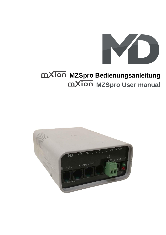

# **mXion** MZSpro Bedienungsanleitung **MXION** MZSpro User manual

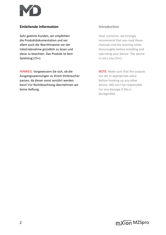

# **Einleitende Information Introduction**

Sehr geehrte Kunden, wir empfehlen Dear customer, we strongly die Produktdokumentation und vor recommend that you read these allem auch die Warnhinweise vor der manuals and the warning notes Inbetriebnahme gründlich zu lesen und thouroughly before installing and diese zu beachten. Das Produkt ist kein **our allegense and the service** operating your device. The device Spielzeug (15+). Spielzeug (15+).

HINWEIS: Vergewissern Sie sich, ob die NOTE: Make sure that the outputs Ausgangsspannungen zu ihrem Verbraucher are set to appropriate value passen, da dieser sonst zerstört werden before hooking up any other kann! Für Nichtbeachtung übernehmen wir device. MD can't be responsible keine Haftung. The same state of the set of the set of the set of the set of the set of the set of the set of the set of the set of the set of the set of the set of the set of the set of the set of the set of the set of th

disregarded.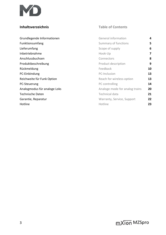

# **Inhaltsverzeichnis Table of Contents**

| Grundlegende Informationen   | <b>General information</b>     | 4  |
|------------------------------|--------------------------------|----|
| Funktionsumfang              | Summary of functions           | 5  |
| Lieferumfang                 | Scope of supply                | 6  |
| Inbetriebnahme               | Hook-Up                        | 7  |
| Anschlussbuchsen             | Connectors                     | 8  |
| Produktbeschreibung          | Product description            | 9  |
| Rückmeldung                  | Feedback                       | 10 |
| PC-Einbindung                | PC-Inclusion                   | 13 |
| Reichweite für Funk Option   | Reach for wireless option      | 13 |
| PC-Steuerung                 | PC controlling                 | 14 |
| Analogmodus für analoge Loks | Analoge mode for analog trains | 20 |
| <b>Technische Daten</b>      | Technical data                 | 21 |
| Garantie, Reparatur          | Warranty, Service, Support     | 22 |
| Hotline                      | Hotline                        | 23 |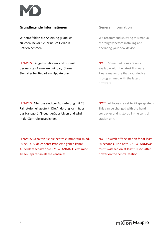

## **Grundlegende Informationen General information**

Wir empfehlen die Anleitung gründlich We recommend studying this manual zu lesen, bevor Sie Ihr neues Gerät in thoroughly before installing and Betrieb nehmen. **Example 2018** operating your new device.

HINWEIS: Einige Funktionen sind nur mit NOTE: Some funktions are only der neusten Firmware nutzbar, führen ausserenden available with the latest firmware. Sie daher bei Bedarf ein Update durch. Please make sure that your device

is programmed with the latest firmware.

HINWEIS: Alle Loks sind per Auslieferung mit 28 NOTE: All locos are set to 28 speep steps. Fahrstufen eingestellt! Die Änderung kann über This can be changed with the hand das Handgerät/Steuergerät erfolgen und wird controller and is stored in the central in der Zentrale gespeichert. Station unit.

HINWEIS: Schalten Sie die Zentrale immer für mind. NOTE: Switch off the station for at least 30 sek. aus, da es sonst Probleme geben kann! 30 seconds. Also note, Z21 WLANMAUS Außerdem schalten Sie Z21 WLANMAUS erst mind. must switched on at least 10 sec. after 10 sek. später an als die Zentrale! power on the central station.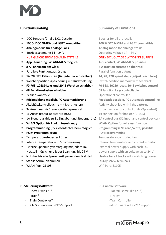

- **DCC Zentrale für alle DCC Decoder** Booster for all protocolls
- **100 % DCC NMRA und LGB® kompatibel 100 % DCC NMRA and LGB® compatible**
- **EXECUTE:** Analog mode for analogie **Analog mode for analoge trains**
- **Betriebsspannung**  $14 24$  **V** Operating voltage  $14 24$  V
- **App Steuerung, WLANMAUS möglich APP control, WLANMAUS possible**
- 
- Parallele Funktionsauslösung ein anderen Parallel function output
- **14, 28, 128 Fahrstufen (für jede Lok einstellbar) 14, 28, 128 speed steps (adjust. each loco)**
- Weichenpositionsspeicherung mit Rückmeldung Switch position memory with feedback
- **F0-F68, 10239 Loks und 2048 Weichen schaltbar F0-F68, 10239 locos, 2048 switches control**
- **68 Funktionstasten schaltbar! 68 function keys controllable**
- 
- **Rückmeldung möglich, PC Automatisierung Feedback possible, PC automatic controlling**
- **E** Aktivitätskontrolleuchte mit Lichtmustern **Activity check led with light patterns**
- 
- 
- 1A Steuerbus (bis zu 31 Eingabe- und Steuergeräte) 1A control bus (31 input and control devices)
- **E WLAN Option für Funkmäuse/Handy WLAN Option for wireless function**
- **Programmierung (CVs lesen/schreiben) möglich Programming (CVs read/write) possible**
- **POM Programmierung POM** programming
- Temperaturgesteuerter Lüfter Temperature-controlled fan
- 
- **Externe Spannungsversorgung mit jedem DC** External power supply with each DC Netzteil möglich und jeder Spannung bis 24 V power supply with an voltage up to 24 V
- **Nutzbar für alle Spuren mit passendem Netzteil Usable for all tracks with matching power**
- **Stabile Schraubklemmen** Sturdy screw terminals
- WIAN Port: 21105 Wifi Port: 21105

# **Funktionsumfang Summary of Funktions**

### NUR GLEICHSTROM SCHALTNETZTEILE! ONLY DC VOLTAGE SWITCHING SUPPLY!

▪ **8 A Fahrstrom am Gleis 8 A traction current on the track** ■ Betriebskontrolle **Departional control led** 3x Anschluss für Steuergeräte (XpressNet) 3x connection for control units (XpressNet) ▪ 1x Anschluss für Booster (B-BUS) 1x connection for booster (B-BUS) **■** Interne Temperatur und Strommessung Internal temperature and current monitor

### **PC-Steuerungssoftware: PC-Control software**

- 
- **iTrain®** iTrain®
- 
- 

- **Rocrail (wie z21<sup>®</sup>) Conserved Allen Scrail (same like z21<sup>®</sup>)** Rocrail (same like z21<sup>®</sup>)
	-
- **Train Controller<sup>®</sup>** Train Controller
- alle Software mit z21<sup>®</sup>-Support all software with z21<sup>®</sup> support

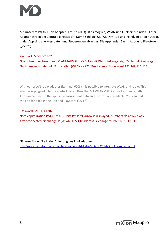

Mit unserem WLAN Funk-Adapter (Art. Nr. 6003) ist es möglich, WLAN und Funk einzubinden. Dieser Adapter wird in der Zentrale eingesteckt. Damit sind die Z21 WLANMAUS und Handy mit App nutzbar. In der App sind alle Messdaten und Steuerungen abrufbar. Die App finden Sie im App- und Playstore  $($ "Z21<sup>®"</sup>).

### Passwort: MDELEC1207

Großschreibung beachten (WLANMAUS Shift-Drücken ➔ Pfeil wird angezeigt. Zahlen ➔ Pfeil weg Nachdem verbunden ➔ IP umstellen (WLAN -> Z21 IP-Adresse -> ändern auf 192.168.111.111

With our WLAN radio adapter (item no. 6003) it is possible to integrate WLAN and radio. This adapter is plugged into the control panel. Thus the Z21 WLANMAUS as well as Handy with App can be used. In the app, all measurement data and controls are available. You can find the app for a fee in the App and Playstore (" $Z21^{\circ}$ ").

### Password: MDELEC1207

Note capitalization (WLANMAUS Shift-Press ➔ arrow is displayed. Numbers ➔ arrow away After connected  $\rightarrow$  change IP (WLAN -> Z21 IP address -> change to 192.168.111.111

Näheres finden Sie in der Anleitung des Funkadapters: <http://www.md-electronics.de/sitecake-content/MD%20mXion%20MZSproFunkAdapter.pdf>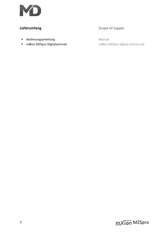

- Bedienungsanleitung Manual
- 

# **Lieferumfang Scope of supply**

■ **mXion MZSpro Digitalzentrale** mXion MZSpro digital central unit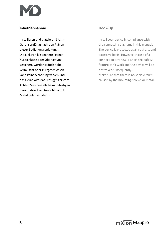

# **Inbetriebnahme Hook-Up**

vertauscht oder kurzgeschlossen destroyed subsequently. Achten Sie ebenfalls beim Befestigen darauf, dass kein Kurzschluss mit Metallteilen entsteht.

Installieren und platzieren Sie Ihr Install your device in compliance with Gerät sorgfältig nach den Plänen the connecting diagrams in this manual. dieser Bedienungsanleitung. The device is protected against shorts and Die Elektronik ist generell gegen excessive loads. However, in case of a Kurzschlüsse oder Überlastung eiter auch and connection error e.g. a short this safety gesichert, werden jedoch Kabel **feature can't work and the device will be** feature can't work and the device will be kann keine Sicherung wirken und Make sure that there is no short circuit

das Gerät wird dadurch ggf. zerstört. The mounting screws or metal.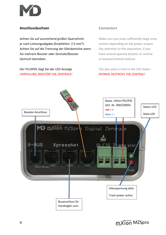

# **Anschlussbuchsen Connectors**

Achten Sie auf ausreichend großen Querschnitt Make sure you have sufficiently large cross je nach Leistungsabgabe (Empfohlen: 2.5 mm<sup>2</sup>). Achten Sie auf die Trennung der Gleisbereiche wenn Pay attention to the separation, if you Sie mehrere Booster oder Zentrale/Booster have several operate booster or central Gemisch betreiben. **Eitermannen aus einer einer Schwarzer** der booster/central mixture.

Der PLUSPOL liegt bei der LED-Anzeige The plus pole is next to the LED states. VERPOLUNG ZERSTÖRT DIE ZENTRALE! SPONGE DESTROYS THE CENTRAL!

section depending on the power output.

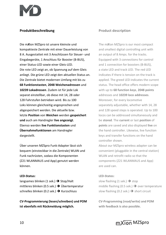

### **Produktbeschreibung Product description**

Die m*X*ion MZSpro ist unsere kleinste und The m*X*ion MZSpro is our most compact kompakteste Zentrale mit einer Dauerleistung von and smallest digital controlling unit with 8 A. Ausgestattet mit 3 Anschlüssen für Steuer- und an output of 8 Amps. for the tracks. Eingabegeräte, 1 Anschluss für Booster (B-BUS), Equipped with 3 connections for control einer Status-LED sowie einer Gleis-LED. and 1 connection for boosters (B-BUS), Die rote LED zeigt an, ob Spannung auf dem Gleis a state LED and track LED. The red LED anliegt. Die grüne LED zeigt den aktuellen Status an. indicates if there is tension on the track is Die Zentrale bietet modernen Umfang mit bis zu applied. The greed LED indicates the current **68 Funktionstasten, 2048 Weichenadressen** und status. The head office offers modern scope **10239 Lokadressen**. Zudem ist für jede Lok with up to **68 function keys**, **2048 points** separat einstellbar, ob diese mit 14, 28 oder addresses and **10239 loco addresses**. 128 Fahrstufen betrieben wird. Bis zu 100 Moreover, for every locomotive Loks können gleichzeitig angesprochen und separately adjustable, whether with 14, 28 abgespeichert werden. Die aktuelle bzw. and 128 speed steps is operated. Up to 100 letzte **Position** von **Weichen** werden **gespeichert** locos can be addressed simultaneously and **und** auch am Handregler **live angezeigt**. be **stored**. The **current** or last **position** of Ebenso werden **live Funktionstasten** und **points** are saved and also displayed **live** on **Übernahmefunktionen** am Handregler the hand controller. Likewise, live function dargestellt. **dargestellt** and transfer functions on the hand

Über unseren MZSpro Funk-Adapter lässt sich About our MZSpro wireless adapter can be bequem (einsteckbar in die Zentrale) WLAN und convenient (pluggable in the central station) Funk nachrüsten, sodass die Komponenten WLAN and retrofit radio so that the (Z21 WLANMAUS und App) genutzt werden components (Z21 WLANMAUS and App) können. **aben are used can.** are used can.

langsames blinken (1 sek.)  $\rightarrow$  Stop/Halt slow flashing (1 sek.)  $\rightarrow$  stop mittleres blinken (0.5 sek.)  $\rightarrow$  Übertemperatur middle flashing (0.5 sek.)  $\rightarrow$  over temperature schnelles blinken (0.2 sek.) → Kurzschluss slow flashing (0.2 sek.) → short circuit

**CV-Programmierung (lesen/schreiben) und POM CV-Programming (read/write) and POM ist ebenfalls mit Rückmeldung möglich. with feedback is also possible.**

controller shown.

### **LED-Status: LED-States:**

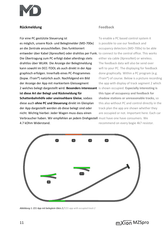

## **Rückmeldung Feedback**

Für eine PC gestützte Steuerung ist To enable a PC based control system it es möglich, unsere Rück- und Belegtmelder (MD-700x) is possible to use our feedback and an die Zentrale anzuschließen. Dies funktioniert occupancy detectors (MD-700x) to be able entweder über Kabel (XpressNet) oder drahtlos per Funk. to connect to the central office. This works Die Übertragung zum PC erfolgt dabei allerdings stets either via cable (XpressNet) or wireless. drahtlos über WLAN. Die Anzeige der Belegtmeldung The feedback data will also be send over kann sowohl im DCC-TOOL als auch direkt in der App wifi to your PC. The displaying for feedback graphisch erfolgen. Innerhalb eines PC-Programmes done graphically. Within a PC program (e.g. (bspw. iTrain<sup>®</sup>) natürlich auch. Nachfolgend ein Bild iTrain<sup>®</sup>) of course. Below is a picture recording der Anzeige der App mit markiertem Gleissegment the app with display of track segment 2 which 2 welches belegt dargestellt wird. **Besonders interessant** is shown occupied. **Especially interesting is ist diese Art der Belegt und Rückmeldung für this type of occupancy and feedback for Schattenbahnhöfe oder uneinsehbare Gleise**, sodass **shadow stations or unreasonable tracks,** so diese auch **ohne PC und Steuerung** direkt im Gleisplan this also without PC and control directly in the der App dargestellt werden ob diese belegt sind oder track plan the app are shown whether they nicht. Wichtig hierbei: Jeder Wagen muss dazu einen are occupied or not. Important here: Each car Verbraucher haben. Wir empfehlen an jedem Drehgestell must have one have consumers. We 4.7 kOhm Widerstand. The same commend on every bogie 4k7 resistor.



*Abbildung 1: Z21 App mit belegtem Gleis 2 / Z21 app with occupied track 2*

11 and the contract of the contract of the matrix of the matrix of the matrix of the matrix of the matrix of the matrix of the matrix of the matrix of the matrix of the matrix of the matrix of the matrix of the matrix of t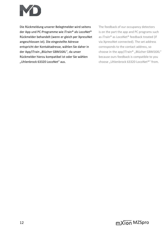

Die Rückmeldung unserer Belegtmelder wird seitens The feedback of our occupancy detectors der App und PC-Programme wie iTrain® als LocoNet® is on the part the app and PC programs such Rückmelder behandelt (wenn er gleich per XpressNet as iTrain® as LocoNet® feedback treated (if angeschlossen ist). Die eingestellte Adresse via XpressNet connected). The set address entspricht der Kontaktadresse, wählen Sie daher in corresponds to the contact address, so der App/iTrain "Blücher GBM16XL", da unser choose in the app/iTrain® "Blücher GBM16XL" Rückmelder hierzu kompatibel ist oder Sie wählen because ours feedback is compatible to you "Uhlenbrock 63320 LocoNet" aus. choose "Uhlenbrock 63320 LocoNet®" from.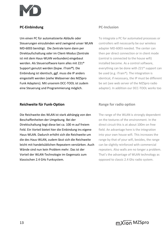

## **PC-Einbindung PC-Inclusion**

Um einen PC für automatisierte Abläufe oder To integrate a PC for automated processes or Steuerungen einzubinden wird zwingend unser WLAN controllers will necessarily be our wireless MD-6003 benötigt. Die Zentrale kann dann per adapter MD-6003 needed. The center can Direktaufschaltung oder im Client-Modus (Zentrale then per direct connection or in client mode ist mit dem Haus-WLAN verbunden) eingebaut (central is connected to the house wifi) werden. Als Steuersoftware kann alles mit Z21<sup>®</sup> installed become. As a control software, Support genutzt werden (bspw. iTrain<sup>®</sup>). Die everything can be done with Z21<sup>®</sup> support can Einbindung ist identisch, ggf. muss die IP anders be used (e.g. iTrain®). The integration is eingestellt werden (siehe Webserver des MZSpro identical, if necessary, the IP must be different Funk Adapters). Mit unserem DCC-TOOL ist zudem be set (see web server of the MZSpro radio eine Steuerung und Programmierung möglich. adapter). In addition our DCC-TOOL works too

### **Reichweite für Funk-Option Range for radio option**

Die Reichweite des WLAN ist stark abhängig von den The range of the WLAN is strongly dependent Beschaffenheiten der Umgebung. Bei der **on the textures of the environment. In the** Direktschaltung liegt diese bei ca. 100 m auf freiem direct circuit this is at about 100m on free Feld. Ein Vorteil bietet hier die Einbindung ins eigene field. An advantage here is the integration Haus-WLAN. Dadurch erhöht sich die Reichweite um into your own house wifi. This increases the die des Haus-WLAN, zudem lässt sich die Reichweite range by that of your wifi, besides, the range leicht mit handelsüblichen Repeatern verstärken. Auch can be slightly reinforced with commercial Wände sind nun kein Problem mehr. Das ist der repeaters. Also walls are no longer a problem. Vorteil der WLAN-Technologie im Gegensatz zum That's the advantage of WLAN technology as klassischen 2.4 GHz Funksystem. The state opposed to classic 2.4 Ghz radio system.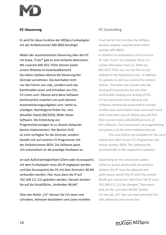

Es wird für diese Funktion der MZSpro Funkadapter It will be for this function the MZSpro mit der Artikelnummer MD-6003 benötigt! wireless adapter required with article

Neben der automatisierten Steuerung über den PC In addition to automated control via the mit bspw. iTrain<sup>®</sup> gibt es eine einfache Alternative. PC with iTrain<sup>®</sup> for example there is a Mit unserem MD-DCC-TOOL können (siehe simple alternative from us. With our unsere Website im Downloadbereich) MD-DCC-TOOL you can (to find on our Sie neben Updates ebenso die Steuerung der website in the download area). In addition Zentrale vornehmen. Das beinhaltet nicht to updates as well you control the central nur das Fahren von Loks, sondern auch das station. That does not include only the komfortable Lesen und Schreiben von CVs, extending of locomotives but also that CV-Listen uvm. Ebenso wird diese Software entity confortable reading and writing of CVs kontinuierlich erweitert um auch kleinere CV lists and much more likewise this Automatisierungsaufgaben uvm. damit zu software continously expanded to include erledigen. Nachfolgend finden Sie, vom states and much more statemation tasks and much more aktuellen Stand (06/2020), Bilder dieser with it too take care of. Below you will find Software. Die Einbindung von from current status (06/2020) pictures of Programmiervorlagen ist zu diesem Zeitpunkt this software. The involvement of programming bereits implementiert. Der Bereich SUSI templates is at this time implemented yet. ist nicht verfügbar für die Zentrale, sondern The area SUSI is not available for the central bezieht sich auf unseren CV Programmer mit station but refers to our CV Programmer the der Artikelnummer 0024. Die Software passt article number 0024. The software fits sich automatisch an die jeweilige Hardware an. The automatically to the respective hardware.

Je nach Aufschaltmöglichkeit (Client oder Accesspoint) Depending on the connection option mit dem Funkadapter muss die IP angepasst werden (client or access point) with the wireless und (bei Accesspoint) der PC mit dem Zentralen WLAN adapter the IP must be adjusted and verbunden werden. Hier muss dann die IP auf (with access point) the PC with the central 192.168.111.111 geändert werden. Danach drücken WLAN get connected. Here then the IP must Sie auf die Schaltfläche "Verbinden WLAN". 192.168.111.111 be changed. Then press

Über den Reiter "CV" können Sie CVs lesen und Via the tab "CV" you can read and write CVs schreiben, Adressen bearbeiten und Listen erstellen. edit addresses and create lists.

# **PC-Steuerung PC Controlling**

number MD-6003!

click on the "Connect WLAN" button.

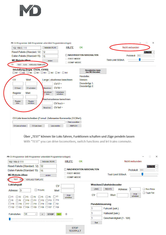

 $\Box$ MD CV-Programmer (MD-Programmer unterstützt Programmiervorlagen)  $\times$ **HILFE** Nicht verbunden OK 192.168.0.111 Verbinden WLAN Reset-Pakete (Standard: 12) 12 DEUTSCH ~ NACHRICHTEN ABSCHALTEN Protokoll: DCC Daten-Pakete (Standard 15)  $|15$ FAST-MODE Test-Limit 500mA **MD Website öffnen** ändem COMP-MODE  $cv$ TEST SUSI VORLAGE/TEMPLATE Bitstellung (bspw. CV29, CV49) Decoderinfos leser<br>(nur MD-Decoder) Hersteller: **CV** Wert Lange Lokadresse berechnen Version: Decodertyp 1:  $CV17 =$ Decodertyp 2: CV lesen CV schreiben  $CV18 =$ Berechnen Lokadresse<br>schreiben okadresse Wert Register lesen Veichenadresse berechnen Register<br>schreiben Register<br>Iesen  $CV$  hoch =  $CV$  tief = Berechnen CV-Liste lesen/schreiben (Format: Zeilenweise Kommentar;CV,Wert): Datei auswählen CV-Liste lesen Liste erstellen ABBRUCH CV-Liste schreiben

Über "TEST" können Sie Loks fahren, Funktionen schalten und Züge pendeln lassen

With "TEST" you can drive locomotives, switch functions and let trains commute.

| MD CV-Programmer (MD-Programmer unterstützt Programmiervorlagen)                                                                                                                                                                                                     |                                      | $\times$<br>$\Box$                                                                                                     |
|----------------------------------------------------------------------------------------------------------------------------------------------------------------------------------------------------------------------------------------------------------------------|--------------------------------------|------------------------------------------------------------------------------------------------------------------------|
| Verbinden WLAN<br>192.168.0.111                                                                                                                                                                                                                                      | <b>HILFE</b><br>OK                   | Nicht verbunden                                                                                                        |
| Reset-Pakete (Standard: 12)<br>12                                                                                                                                                                                                                                    | <b>NACHRICHTEN ABSCHALTEN</b>        | $DEUTSCH ~\mathord{\sim}$<br>Protokoll:<br>DCC                                                                         |
| Daten-Pakete (Standard 15)<br>15<br><b>MD Website öffnen</b><br>ändem<br><b>TEST</b><br>VORLAGE/TEMPLATE<br>SU.                                                                                                                                                      | <b>FAST-MODE</b><br><b>COMP-MODE</b> | Test-Limit 500mA                                                                                                       |
| Lokfahrpult<br><b>CV</b>                                                                                                                                                                                                                                             |                                      | Weichen/Zubehördecoder                                                                                                 |
| $\Box$ F0 (Licht)<br>$\vert 3$<br>Adresse:<br>Wert<br>F 7<br>$\Box$ F6<br>$\Box$ F2<br>F <sub>5</sub><br>$\Box$ F1<br>F <sub>3</sub><br>F4<br>п<br>$\mathbf{1}$<br>$\Box$ F14<br>$\Box$ F13<br>$\sqcap$ F9<br>F <sub>12</sub><br>$\Box$ F8<br>F10<br>$\Box$ F11<br>П | <b>POM</b><br>schreiben              | <b>LINKS</b><br><b>RECHTS</b><br>Roco-Modus<br>Adresse:<br>Toggle-Test<br><b>POM</b><br><b>CV</b><br>Wert<br>schreiben |
| $\Box$ F16<br>$\Box$ F21<br>$\Box$ F15<br>F <sub>17</sub><br>$\Box$ F18<br>F <sub>19</sub><br>F <sub>20</sub><br>$\mathbf{I}$                                                                                                                                        |                                      | Pendelsteuerung                                                                                                        |
| <b>F24</b><br>$\Box$ F25 $\Box$ F26<br>$\Box$ F <sub>27</sub><br>F28<br>$\Box$ F22<br>$\Box$ F23                                                                                                                                                                     |                                      | Fahrzeit (sek.)                                                                                                        |
| 128<br>Fahrstufen:<br><b>STOP</b><br>$\checkmark$<br>$\prec$<br>>                                                                                                                                                                                                    | 0                                    | Haltezeit (sek.)                                                                                                       |
|                                                                                                                                                                                                                                                                      |                                      | Geschwindigkeit (1 - 128)<br><b>Start</b>                                                                              |
|                                                                                                                                                                                                                                                                      | <b>STOP</b><br><b>TESTPULT</b>       |                                                                                                                        |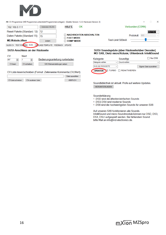

| 53 . V-Programmer (MD Programmer unterstützt Programmiervorlagen) [Geräte-Version: 1.3.5, Hardware-Version: 3] |                                  |                                        |                               |                  |                  |            |             |  |
|----------------------------------------------------------------------------------------------------------------|----------------------------------|----------------------------------------|-------------------------------|------------------|------------------|------------|-------------|--|
| 192.168.0.111                                                                                                  | Verbinden WLAN                   | <b>HILFE</b>                           | OK                            |                  | Verbunden (COM4) |            |             |  |
| Reset-Pakete (Standard: 12)   12                                                                               |                                  |                                        |                               |                  |                  |            | DEUTSCH ~ < |  |
| Daten-Pakete (Standard 15)                                                                                     | 15                               |                                        | $\Box$ NACHRICHTEN ABSCHALTEN |                  | Protokoll:       | <b>DCC</b> |             |  |
| <b>MD Website öffnen</b>                                                                                       | ändem                            | $\Box$ FAST-MODE<br>$\sqcap$ comp-mode |                               | Test-Limit 500mA |                  |            |             |  |
| <b>SUSI</b><br>GLEIS CV   TEST/FARREN                                                                          | VORLAGE/TEMPLATE FEEDBACK UPDATE |                                        |                               |                  |                  |            |             |  |

### SUSI-Anschluss an der Rückseite

| CV.      | Wert                     |                                 |
|----------|--------------------------|---------------------------------|
| 1897     | $\overline{\phantom{a}}$ | Bedienungsanleitung runterladen |
| CV lesen | CV schreiben             | SX6 Werkseinstellungen setzen   |

### CV-Liste lesen/schreiben (Format: Zeilenweise Kommentar;CV,Wert):

|                   |                                            | Datei auswählen |
|-------------------|--------------------------------------------|-----------------|
| V-Liste schreiben | $\sim$ $V_{\odot}$ .<br>iste.<br>auslesen. |                 |

### SUSI-Soundupdate (über Rückseite/über Decoder) MD SX6, Dietz micro/Xclusiv, Uhlenbrock IntelliSound

| Kategorie                                  | Soundtyp     | $\Box$ Nur DS6         |
|--------------------------------------------|--------------|------------------------|
| Kategorie wählen                           | Sound wählen |                        |
| <b>SUSI AN RÜCKSEITE</b>                   |              | Eigene Datei auswählen |
| UPDATEN <b>Z</b> TURBO <b>REAKTIVIEREN</b> |              |                        |

Soundbibliothek ist aktuell. Prüfe auf weitere Updates. HERUNTERLADEN

Sounderklärung:

- · . DSD sind die ältesten/einfachen Sounds
- . DS3/DS4 sind moderne Sounds
- . DS6 sind die hochwertigsten Sounds für unseren SX6

Auf unseren SX6 funktionieren alle Sounds. IntelliSound und micro-Soundmodule können nur DSD, DS3, DS4, DSU aufgespielt werden. Bei fehlendem Sound bitte Mail an info@md-electronics.de.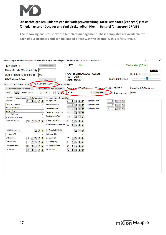

### **Die nachfolgenden Bilder zeigen die Vorlagenverwaltung. Diese Templates (Vorlagen) gibt es für jeden unserer Decoder und sind direkt ladbar. Hier im Beispiel für unseren DRIVE-S.**

**The following pictures show the template management. These templates are available for each of our decoders and can be loaded directly. In this example, this is for DRIVE-S.**

| Geräte-Version: 13.5, Hardware-Version: 3] CV-Programmer unterstützt Programmiervorlagen) [Geräte-Version: 13.5, Hardware-Version: 3] |                                                        |                                                          |                           |                                   | □<br>$\times$              |
|---------------------------------------------------------------------------------------------------------------------------------------|--------------------------------------------------------|----------------------------------------------------------|---------------------------|-----------------------------------|----------------------------|
| 192.168.0.111                                                                                                                         | Verbinden WLAN                                         | <b>HILFE</b><br><b>OK</b>                                |                           |                                   | Verbunden (COM4)           |
| Reset-Pakete (Standard: 12)                                                                                                           | 12                                                     |                                                          |                           |                                   | DEUTSCH v                  |
| Daten-Pakete (Standard 15)                                                                                                            | 15                                                     | <b>NACHRICHTEN ABSCHALTEN</b><br><b>FAST-MODE</b>        |                           |                                   | Protokoll: DCC             |
| <b>MD Website öffnen</b>                                                                                                              | ändem                                                  | <b>COMP-MODE</b>                                         |                           | Test-Limit 500mA                  |                            |
| GLEIS CV   TEST/FAHREN   SUSI                                                                                                         | VORLAGE/TEMPLATE FEED ACK UPDATE                       |                                                          |                           |                                   |                            |
| Decodervorlage XML öffnen                                                                                                             | Decodervorlage XML speichem                            | Decodertyp: DRIVE-S                                      | Vorlage: MD mXion DRIVE-S |                                   | Hersteller: MD Electronics |
| Einzel CV Nr.: 1<br>$Q$ $\bm{J}$<br>Alle CV                                                                                           | $\left  \div \right $<br>$\alpha$<br>Wert: 3<br>H<br>л | <b>DRIVE-S</b>                                           | Einfügen<br>$\checkmark$  | Fahrzeugname:                     | <b>NEW</b>                 |
| Allgemein<br>Fahreigenschaften Schaltausgänge 1                                                                                       | Sonderfunktionen 1 CV Liste                            |                                                          |                           |                                   |                            |
| Adresse<br>$\div$ Q 1 ?                                                                                                               | Analogbetrieb                                          | 3<br>÷lQ<br>$\boldsymbol{J}$<br>R                        | Kupplungswalzer<br>5      | $\div$ Q $\prime$<br>$\mathbb{R}$ |                            |
| Fahrrichtung normal                                                                                                                   | Herstellerkennung<br>$\checkmark$                      | 160<br>÷<br>$\theta$<br>P<br>lQ                          | Kupplungswalzer<br>5      | $\div$ Q 1 ?                      |                            |
| 28/128 Fahrstufen                                                                                                                     | Geräteidentifizierung                                  | 11<br>÷<br>$\Omega$<br>?<br>$\theta$                     | Kupplungswalzer<br>30     | $\exists$ Q $\jmath$ ?            |                            |
| Digital + Analog                                                                                                                      | Gerätetyp Untergruppe                                  | 3<br>÷<br>Q<br>8<br>P.                                   |                           |                                   |                            |
| Interne Fahrkurve                                                                                                                     | Geräteversion/Reset                                    | 1.0                                                      |                           |                                   |                            |
| Multifunktionsdecoder                                                                                                                 |                                                        | $\mathbf Q$<br>$\mathcal G$<br>17                        |                           |                                   |                            |
| Programmiersperre<br>$\div$ Q $\prime$<br>205                                                                                         | Puffemachlaufzeit<br>$\mathbf{P}$                      | 5<br>$= 0$<br>$\mathcal{J}$<br>P                         |                           |                                   |                            |
|                                                                                                                                       | Mehrfachtraktionsadresse                               | 99<br>$\div$ Q<br>$\mathcal{J}$<br>P.                    |                           |                                   |                            |
| LV Schaltbefehl Licht                                                                                                                 | <b>LH Schaltbefehl Licht</b><br>$Q$ $q$                | $Q$ $Q$ $R$                                              |                           |                                   |                            |
| Lichttaste (F0)                                                                                                                       | Lichttaste (F0)<br>$\checkmark$                        | $\checkmark$                                             |                           |                                   |                            |
| <b>LV Dimmwert</b><br>$\div$ Q<br>15                                                                                                  | <b>LH Dimmwert</b><br>$\mathcal{J}$<br>P               | 15<br>$\overline{\mathbf{Q}}$<br>$\mathcal{J}$<br>÷<br>ୁ |                           |                                   |                            |
| LV Bedingung<br>$\left  \div \right $<br>$\mathsf{O}$                                                                                 | <b>LH Bedingung</b><br>$\boldsymbol{J}$<br>P           | 2<br>H<br>$\mathbf Q$<br>1<br>P.                         |                           |                                   |                            |
| LV Sonderfunktion<br>64<br>H<br>$\mathsf Q$                                                                                           | <b>LH</b> Sonderfunktion<br>I<br>P.                    | 64<br>$\boldsymbol{J}$<br>H<br>$\mathbf Q$<br>P.         |                           |                                   |                            |
| LV Zeitwert<br>$\Rightarrow$<br>10<br>$\mathbf{Q}$                                                                                    | <b>LH Zeitwert</b><br>$\boldsymbol{J}$<br>P.           | 10<br>÷<br>$\boldsymbol{J}$<br>$\bullet$<br>P.           |                           |                                   |                            |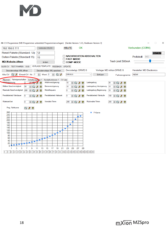#D CV-Programmer (MD-Programmer unterstützt Programmiervorlagen) [Geräte-Version: 1.3.5, Hardware-Version: 3]  $\Box$  $\times$ Verbinden WLAN **HILFE** OK Verbunden (COM4) 192.168.0.111 Reset-Pakete (Standard: 12) 12 DEUTSCH  $\sim$ **NACHRICHTEN ABSCHALTEN** Protokoll: DCC Daten-Pakete (Standard 15) 15 □ FAST-MODE Test-Limit 500mA **MD Website öffnen**  $\Box$  COMP-MODE ändem GLEIS CV TEST/FAHREN SUSI VORLAGE/TEMPLATE FEEDBACK UPDATE Vorlage: MD mXion DRIVE-S Hersteller: MD Electronics Decodertyp: DRIVE-S Decodervorlage XML öffnen Decodervorlage XML speichem Alle CV Q 0 Einzel CV Nr.: 1  $\div$  Wert 3  $\div$  Q 0 DRIVE-S  $\backsim$ Einfügen **NEW** Fahrzeugname: Allgemein Fahreigenschaften Schaltausgange 1 Sonderfunktionen 1 CV Liste  $-20$  ? Anfahrspannung Anfahrverzögerung Lastregelung 35  $10$  $\boxminus$  Q  $\textcolor{blue}{\mathcal{J}}$  ?  $\boxminus$  Q  $\textcolor{blue}{\mathcal{J}}$  ? Mittlere Geschwindigkeit Lastregelung Verzögerung 50 Bremsverzögerung  $10$  $10$  $\Box$   $\sqrt{2}$  $\exists$  Q  $\jmath$  ?  $\exists$  Q  $\jmath$  ? Maximale Geschwindigkeit Motorfrequenz Lastregelung Begrenzung 200  $\Box$   $\Box$   $\mathcal{J}$  ?  $\overline{\mathbf{0}}$  $\Box$   $\Box$  2  $10$  $\Box$   $\sqrt{2}$ Pendelbetrieb Fahrdauer  $100$   $\div$  Q  $\theta$  ? 5 Pendelbetrieb Haltezeit 5 Pendelbetrieb Fahrstufe HQ1?  $\exists$  Q  $\jmath$  ? Wartezeit bei Rückwärts-Trimm Vorwärts-Trimm  $\pmb{0}$  $\exists$  Q  $\prime$  ? 255  $\leftarrow$   $\left\lceil \bigcirc \right\rceil$  ? 255  $\div$  Q  $\rightarrow$  ? Prog. Fahrkurve 260 F-Kurve 240 220 Ľ, 200 180 ٠ 160 140 120 т 100 80 60 п  $40$ 20  $\overline{0}$  $17$ 21 3 5  $\overline{7}$ 9 11 13 15 19 23 25 27 29 1 6 8 10 13 16 19 22 26 31 36 42 48 54 60 68 76 84 92 102 112 124 136 152 168 268 278 278 279

mXion MZSpro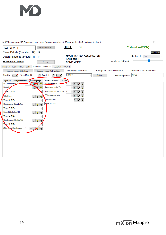#D CV-Programmer (MD-Programmer unterstützt Programmiervorlagen) [Geräte-Version: 1.3.5, Hardware-Version: 3]  $\Box$  $\times$ **HILFE** OK Verbunden (COM4) Verbinden WLAN 192.168.0.111 Reset-Pakete (Standard: 12)  $12$ **DEUTSCH** NACHRICHTEN ABSCHALTEN Daten-Pakete (Standard 15) Protokoll: DCC 15 FAST-MODE Test-Limit 500mA **MD Website öffnen** ändem COMP-MODE GLEIS CV TEST/FAHREN SUSI VORLAGE/TEMPLATE FEEDBACK UPDATE Vorlage: MD mXion DRIVE-S Hersteller: MD Electronics Decodertyp: DRIVE-S Decodervorlage XML öffnen Decodervorlage XML speichem DRIVE-S Alle CV Q 3 Einzel CV Nr.: 1 **NEW**  $\Rightarrow$  Wert 3  $\Box$  $\checkmark$ Einfügen Fahrzeugname: Allgemein Fahreigenschaften Chaltausgänge 1 Sonderfunktionen 1 CV Liste MD Konfiguration (C) Zufallsgenerat  $\overline{0}$  $\exists$  Q  $\jmath$  ? **North** Doppel Taktsteuerung In/Ext  $\alpha$  $\overline{1}$  $\exists$  Q  $\jmath$  ? de 13 (F13) Taktsteuerung Sim. Komig 5 **Ta**  $\exists$  Q  $\beta$  ? F-Taste aktiv analog h  $\exists$  Q  $\beta$  ? Schaltbare  $Q$   $q$   $q$ inktionstaste  $Q$   $q$ Taste 16 (F16) ste 28 (F28) Rangiergang Schaltbefehl  $Q$   $q$   $q$ Taste 15 (F15)  $\checkmark$ Femlicht Schaltbefehl  $Q \nmid \nmid \nmid$ Taste 14 (F14)  $\checkmark$ Handbremse Schaltbefehl  $Q$   $q$ Taste 12 (F12) Zeitwerkfür Handbremse  $\mathbf{0}$  $\div$  Q Ÿ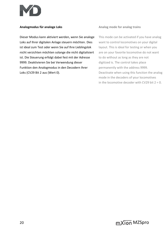

Dieser Modus kann aktiviert werden, wenn Sie analoge This mode can be activated if you have analog Loks auf Ihrer digitalen Anlage steuern möchten. Dies want to control locomotives on your digital ist ideal zum Test oder wenn Sie auf Ihre Lieblingslok layout. This is ideal for testing or when you nicht verzichten möchten solange die nicht digitalisiert are on your favorite locomotive do not want ist. Die Steuerung erfolgt dabei fest mit der Adresse to do without as long as they are not 9999. Deaktivieren Sie bei Verwendung dieser digitized is. The control takes place Funktion den Analogmodus in den Decodern Ihrer permanently with the address 9999. Loks (CV29 Bit 2 aus (Wert 0). Deactivate when using this function the analog

### **Analogmodus für analoge Loks Analog mode for analog trains**

mode in the decoders of your locomotives in the locomotive decoder with CV29 bit  $2 = 0$ .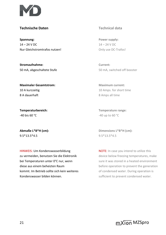

# **Technische Daten Technical data**

**Spannung: Power supply: Power supply:**  $14 - 24$  V DC  $14 - 24$  V DC Nur Gleichstromtrafos nutzen! De announcement only use DC-Trafos!

**Stromaufnahme: Current:**

**Maximaler Gesamtstrom: Maximum current: 10 A kurzzeitig 10 Amps.** for short time 8 A dauerhaft **8 Amps all time** 

**Temperaturbereich: Temperature range:**  $-40$  bis 60 °C  $-40$  up to 60 °C

9.5\*13.5\*4.5 9.5\*13.5\*4.5

HINWEIS: Um Kondenswasserbildung NOTE: In case you intend to utilize this zu vermeiden, benutzen Sie die Elektronik device below freezing temperatures, make bei Temperaturen unter 0°C nur, wenn sure it was stored in a heated environment diese aus einem beheizten Raum between before operation to prevent the generation kommt. Im Betrieb sollte sich kein weiteres of condensed water. During operation is Kondenswasser bilden können. Sufficient to prevent condensed water.

50 mA, abgeschaltete Stufe 50 mA, switched off booster

**Abmaße L\*B\*H (cm): Dimensions L\*B\*H (cm):**

21 and the contract of the contract of the contract of the contract of the contract of the contract of the contract of the contract of the contract of the contract of the contract of the contract of the contract of the con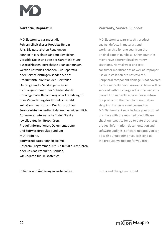

MD Electronics garantiert die MD Electronics warrants this product Fehlerfreiheit dieses Produkts für ein auszum against defects in materials and Jahr. Die gesetzlichen Regelungen workmanship for one year from the können in einzelnen Ländern abweichen. **Ein alle als eine alle als ein** original date of purchase. Other countries Verschleißteile sind von der Garantieleistung might have different legal warranty ausgeschlossen. Berechtigte Beanstandungen situations. Normal wear and tear, werden kostenlos behoben. Für Reparatur- consumer modifications as well as improper oder Serviceleistungen senden Sie das anderen ause or installation are not covered. Produkt bitte direkt an den Hersteller. Peripheral component damage is not covered Unfrei gesandte Sendungen werden by this warranty. Valid warrants claims will be nicht angenommen. Für Schäden durch serviced without charge within the warranty unsachgemäße Behandlung oder Fremdeingriff period. For warranty service please return oder Veränderung des Produkts besteht the manufacturer. Return kein Garantieanspruch. Der Anspruch auf shipping charges are not covered by Serviceleistungen erlischt dadurch unwiderruflich. MD Electronics. Please include your proof of Auf unserer Internetseite finden Sie die purchase with the returned good. Please jeweils aktuellen Broschüren, etc. etc. etc. etc. check our website for up to date brochures, Produktinformationen, Dokumentationen product information, documentation and und Softwareprodukte rund um software updates. Software updates you can MD-Produkte. **MD-Produkte.** MD-Produkte. Softwareupdates können Sie mit the product, we update for you free. unserem Programmer (Art. Nr. 0024) durchführen, oder uns das Produkt zu senden, wir updaten für Sie kostenlos.

### **Garantie, Reparatur Warranty, Service, Support**

Irrtümer und Änderungen vorbehalten. The Errors and changes excepted.

22 and the contract of the contract of the contract of the contract of the contract of the contract of the contract of the contract of the contract of the contract of the contract of the contract of the contract of the con